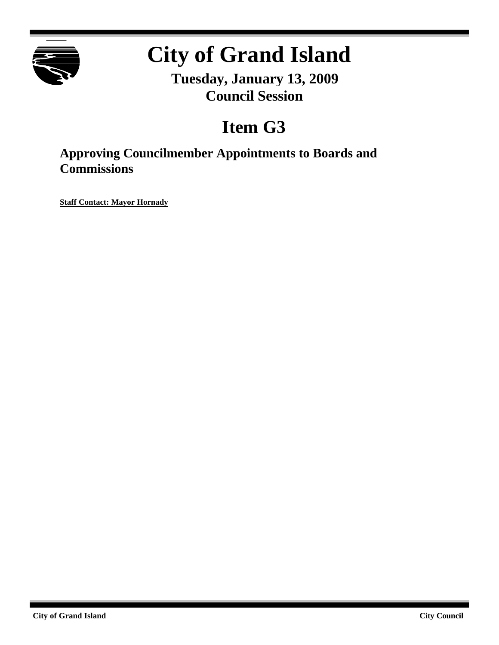

# **City of Grand Island**

**Tuesday, January 13, 2009 Council Session**

## **Item G3**

**Approving Councilmember Appointments to Boards and Commissions**

**Staff Contact: Mayor Hornady**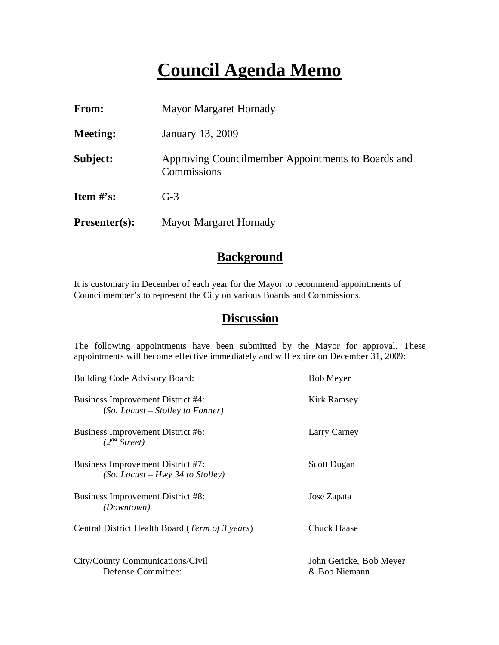### **Council Agenda Memo**

| From:                          | <b>Mayor Margaret Hornady</b>                                     |
|--------------------------------|-------------------------------------------------------------------|
| <b>Meeting:</b>                | January 13, 2009                                                  |
| Subject:                       | Approving Councilmember Appointments to Boards and<br>Commissions |
| <b>Item <math>\#</math>'s:</b> | $G-3$                                                             |
| Presenter(s):                  | <b>Mayor Margaret Hornady</b>                                     |

#### **Background**

It is customary in December of each year for the Mayor to recommend appointments of Councilmember's to represent the City on various Boards and Commissions.

#### **Discussion**

The following appointments have been submitted by the Mayor for approval. These appointments will become effective immediately and will expire on December 31, 2009:

| <b>Building Code Advisory Board:</b>                                           | <b>Bob Meyer</b>                         |
|--------------------------------------------------------------------------------|------------------------------------------|
| <b>Business Improvement District #4:</b><br>$(So.$ Locust – Stolley to Fonner) | Kirk Ramsey                              |
| Business Improvement District #6:<br>$(2^{nd} \text{ Street})$                 | Larry Carney                             |
| Business Improvement District #7:<br>$(So.$ Locust – Hwy 34 to Stolley)        | <b>Scott Dugan</b>                       |
| <b>Business Improvement District #8:</b><br><i>(Downtown)</i>                  | Jose Zapata                              |
| Central District Health Board (Term of 3 years)                                | <b>Chuck Haase</b>                       |
| City/County Communications/Civil<br>Defense Committee:                         | John Gericke, Bob Meyer<br>& Bob Niemann |